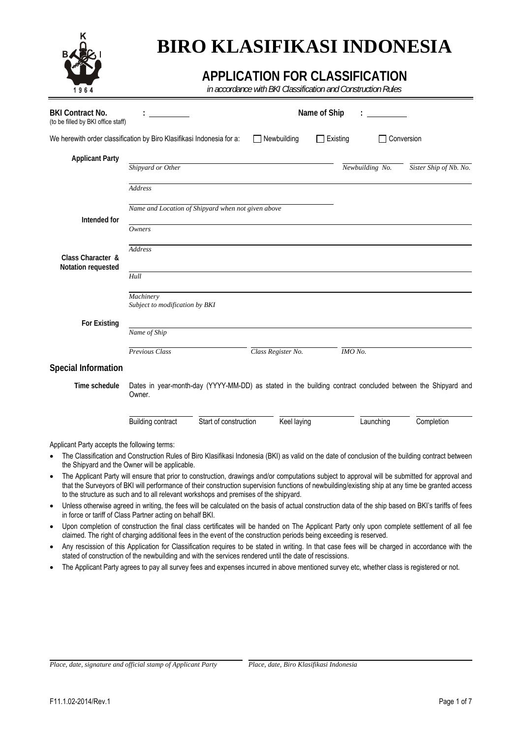

# **BIRO KLASIFIKASI INDONESIA**

## **APPLICATION FOR CLASSIFICATION**

*in accordance with BKI Classification and Construction Rules* 

| <b>BKI Contract No.</b><br>(to be filled by BKI office staff)         |                                                                                      |                       |                    | Name of Ship |                 |                                                                                                                                                                                                                                                                                                      |
|-----------------------------------------------------------------------|--------------------------------------------------------------------------------------|-----------------------|--------------------|--------------|-----------------|------------------------------------------------------------------------------------------------------------------------------------------------------------------------------------------------------------------------------------------------------------------------------------------------------|
| We herewith order classification by Biro Klasifikasi Indonesia for a: |                                                                                      |                       | Newbuilding        | Existing     |                 | Conversion                                                                                                                                                                                                                                                                                           |
| <b>Applicant Party</b>                                                | Shipyard or Other                                                                    |                       |                    |              | Newbuilding No. | Sister Ship of Nb. No.                                                                                                                                                                                                                                                                               |
|                                                                       | <b>Address</b>                                                                       |                       |                    |              |                 |                                                                                                                                                                                                                                                                                                      |
| Intended for                                                          | Name and Location of Shipyard when not given above                                   |                       |                    |              |                 |                                                                                                                                                                                                                                                                                                      |
|                                                                       | Owners                                                                               |                       |                    |              |                 |                                                                                                                                                                                                                                                                                                      |
| Class Character &<br>Notation requested                               | <b>Address</b>                                                                       |                       |                    |              |                 |                                                                                                                                                                                                                                                                                                      |
|                                                                       | Hull                                                                                 |                       |                    |              |                 |                                                                                                                                                                                                                                                                                                      |
|                                                                       | Machinery<br>Subject to modification by BKI                                          |                       |                    |              |                 |                                                                                                                                                                                                                                                                                                      |
| <b>For Existing</b>                                                   | Name of Ship                                                                         |                       |                    |              |                 |                                                                                                                                                                                                                                                                                                      |
|                                                                       | Previous Class                                                                       |                       | Class Register No. | IMO No.      |                 |                                                                                                                                                                                                                                                                                                      |
| <b>Special Information</b>                                            |                                                                                      |                       |                    |              |                 |                                                                                                                                                                                                                                                                                                      |
| Time schedule                                                         | Owner.                                                                               |                       |                    |              |                 | Dates in year-month-day (YYYY-MM-DD) as stated in the building contract concluded between the Shipyard and                                                                                                                                                                                           |
|                                                                       | <b>Building contract</b>                                                             | Start of construction | Keel laying        |              | Launching       | Completion                                                                                                                                                                                                                                                                                           |
| Applicant Party accepts the following terms:                          |                                                                                      |                       |                    |              |                 |                                                                                                                                                                                                                                                                                                      |
|                                                                       | the Shipyard and the Owner will be applicable.                                       |                       |                    |              |                 | The Classification and Construction Rules of Biro Klasifikasi Indonesia (BKI) as valid on the date of conclusion of the building contract between                                                                                                                                                    |
| $\bullet$                                                             | to the structure as such and to all relevant workshops and premises of the shipyard. |                       |                    |              |                 | The Applicant Party will ensure that prior to construction, drawings and/or computations subject to approval will be submitted for approval and<br>that the Surveyors of BKI will performance of their construction supervision functions of newbuilding/existing ship at any time be granted access |
|                                                                       | in force or tariff of Class Partner acting on behalf BKI.                            |                       |                    |              |                 | Unless otherwise agreed in writing, the fees will be calculated on the basis of actual construction data of the ship based on BKI's tariffs of fees                                                                                                                                                  |

- Upon completion of construction the final class certificates will be handed on The Applicant Party only upon complete settlement of all fee claimed. The right of charging additional fees in the event of the construction periods being exceeding is reserved.
- Any rescission of this Application for Classification requires to be stated in writing. In that case fees will be charged in accordance with the stated of construction of the newbuilding and with the services rendered until the date of rescissions.
- The Applicant Party agrees to pay all survey fees and expenses incurred in above mentioned survey etc, whether class is registered or not.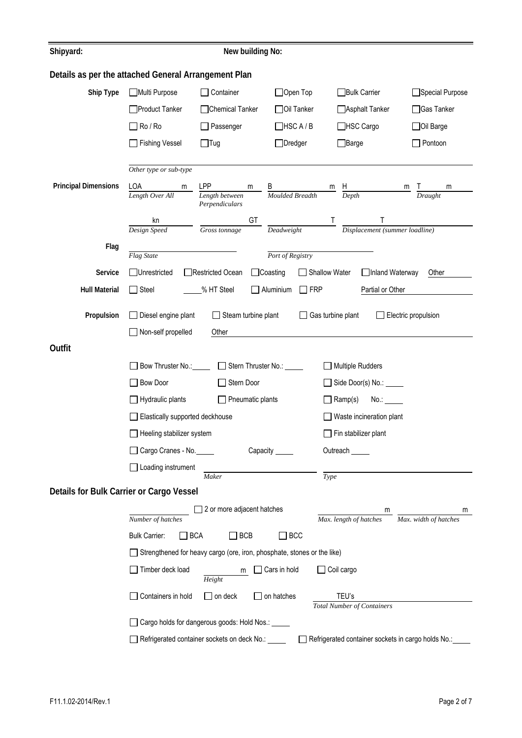| Shipyard:                                            | New building No:                                                            |                                                                         |                                                      |                                                    |                            |  |  |  |  |
|------------------------------------------------------|-----------------------------------------------------------------------------|-------------------------------------------------------------------------|------------------------------------------------------|----------------------------------------------------|----------------------------|--|--|--|--|
| Details as per the attached General Arrangement Plan |                                                                             |                                                                         |                                                      |                                                    |                            |  |  |  |  |
| Ship Type                                            | Multi Purpose                                                               | $\Box$ Container                                                        | $\Box$ Open Top                                      | □Bulk Carrier                                      | □Special Purpose           |  |  |  |  |
|                                                      | □Product Tanker                                                             | Chemical Tanker                                                         | □ Oil Tanker                                         | Asphalt Tanker                                     | □Gas Tanker                |  |  |  |  |
|                                                      | $\Box$ Ro / Ro                                                              | Passenger                                                               | $\Box$ HSC A / B                                     | □HSC Cargo                                         | □ Oil Barge                |  |  |  |  |
|                                                      | □ Fishing Vessel                                                            | $\Box$ Tug                                                              | $\Box$ Dredger                                       | $\Box$ Barge<br>$\Box$ Pontoon                     |                            |  |  |  |  |
|                                                      |                                                                             |                                                                         |                                                      |                                                    |                            |  |  |  |  |
| <b>Principal Dimensions</b>                          | Other type or sub-type<br>LOA                                               | LPP                                                                     |                                                      |                                                    |                            |  |  |  |  |
|                                                      | m<br>Length Over All                                                        | m<br>Length between                                                     | <b>B</b><br>Moulded Breadth                          | $\frac{m}{D}$ $\frac{H}{Depth}$                    | m<br>m<br>Draught          |  |  |  |  |
|                                                      |                                                                             | Perpendiculars<br>GT                                                    |                                                      |                                                    |                            |  |  |  |  |
|                                                      | kn<br>Design Speed                                                          | Gross tonnage                                                           | Deadweight                                           | $\frac{1}{\text{Displacement (sumer loading)}}$    |                            |  |  |  |  |
| Flag                                                 |                                                                             |                                                                         |                                                      |                                                    |                            |  |  |  |  |
| Service                                              | Flag State<br>Unrestricted                                                  | □Restricted Ocean                                                       | Port of Registry<br>$\Box$ Coasting<br>Shallow Water | □Inland Waterway                                   | Other                      |  |  |  |  |
| <b>Hull Material</b>                                 | $\Box$ Steel                                                                | % HT Steel                                                              | $\Box$ Aluminium<br>$\square$ FRP                    | Partial or Other                                   |                            |  |  |  |  |
|                                                      |                                                                             |                                                                         |                                                      |                                                    |                            |  |  |  |  |
| Propulsion                                           | $\Box$ Diesel engine plant                                                  | Steam turbine plant                                                     |                                                      | $\Box$ Gas turbine plant                           | $\Box$ Electric propulsion |  |  |  |  |
|                                                      | Non-self propelled<br>Other                                                 |                                                                         |                                                      |                                                    |                            |  |  |  |  |
| Outfit                                               |                                                                             |                                                                         |                                                      |                                                    |                            |  |  |  |  |
|                                                      | Bow Thruster No.: _____<br>Stern Thruster No.: _____<br>Multiple Rudders    |                                                                         |                                                      |                                                    |                            |  |  |  |  |
|                                                      | □ Bow Door<br>Stern Door<br>Side Door(s) No.: _____                         |                                                                         |                                                      |                                                    |                            |  |  |  |  |
|                                                      | $\Box$ Hydraulic plants<br>$\Box$ Pneumatic plants<br>Ramp(s)<br>No.: _____ |                                                                         |                                                      |                                                    |                            |  |  |  |  |
|                                                      | Elastically supported deckhouse                                             |                                                                         |                                                      | Waste incineration plant                           |                            |  |  |  |  |
|                                                      | $\Box$ Heeling stabilizer system                                            |                                                                         |                                                      | Fin stabilizer plant                               |                            |  |  |  |  |
|                                                      | Cargo Cranes - No.<br>Capacity _____<br>Outreach                            |                                                                         |                                                      |                                                    |                            |  |  |  |  |
|                                                      | $\Box$ Loading instrument<br>Type<br>Maker                                  |                                                                         |                                                      |                                                    |                            |  |  |  |  |
| Details for Bulk Carrier or Cargo Vessel             |                                                                             |                                                                         |                                                      |                                                    |                            |  |  |  |  |
|                                                      |                                                                             | 2 or more adjacent hatches                                              |                                                      | m                                                  | m                          |  |  |  |  |
|                                                      | Number of hatches                                                           |                                                                         |                                                      | Max. length of hatches                             | Max. width of hatches      |  |  |  |  |
|                                                      | $\Box$ BCA<br><b>Bulk Carrier:</b>                                          | $\square$ BCB                                                           | $\square$ BCC                                        |                                                    |                            |  |  |  |  |
|                                                      |                                                                             | Strengthened for heavy cargo (ore, iron, phosphate, stones or the like) |                                                      |                                                    |                            |  |  |  |  |
|                                                      | $\Box$ Timber deck load                                                     | m<br>Height                                                             | $\Box$ Cars in hold                                  | Coil cargo                                         |                            |  |  |  |  |
|                                                      | □ Containers in hold                                                        | $\Box$ on deck                                                          | $\Box$ on hatches                                    | TEU's<br><b>Total Number of Containers</b>         |                            |  |  |  |  |
|                                                      |                                                                             | Cargo holds for dangerous goods: Hold Nos.: ___                         |                                                      |                                                    |                            |  |  |  |  |
|                                                      |                                                                             | Refrigerated container sockets on deck No.: _____                       |                                                      | Refrigerated container sockets in cargo holds No.: |                            |  |  |  |  |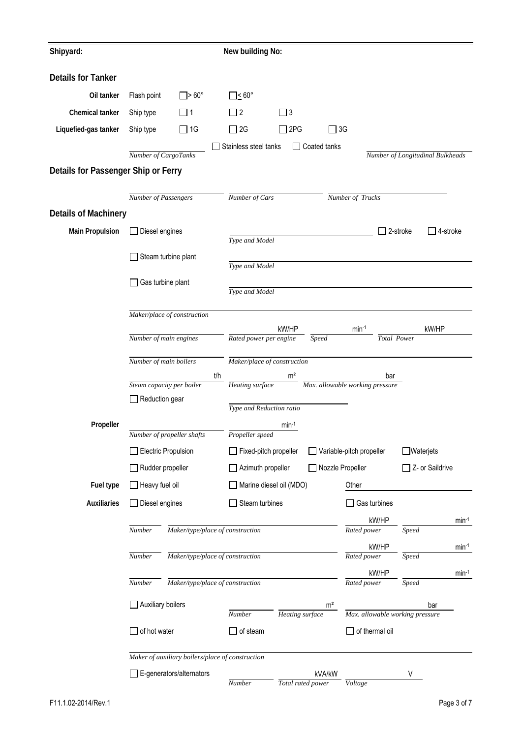| Shipyard:                           |                            |                                                  |                                                       | New building No:        |                             |                                        |                                  |             |  |  |  |  |
|-------------------------------------|----------------------------|--------------------------------------------------|-------------------------------------------------------|-------------------------|-----------------------------|----------------------------------------|----------------------------------|-------------|--|--|--|--|
| <b>Details for Tanker</b>           |                            |                                                  |                                                       |                         |                             |                                        |                                  |             |  |  |  |  |
| Oil tanker                          | Flash point                | $\square$ > 60°                                  | __i 60°                                               |                         |                             |                                        |                                  |             |  |  |  |  |
| Chemical tanker                     | Ship type                  | - 11                                             | $\Box$ 2                                              | $\Box$ 3                |                             |                                        |                                  |             |  |  |  |  |
| Liquefied-gas tanker                | Ship type                  | $\Box$ 1G                                        | $\Box$ 2G                                             | 2PG                     | $\Box$ 3G                   |                                        |                                  |             |  |  |  |  |
|                                     |                            |                                                  | Stainless steel tanks                                 |                         | Coated tanks                |                                        |                                  |             |  |  |  |  |
|                                     | Number of CargoTanks       |                                                  |                                                       |                         |                             |                                        | Number of Longitudinal Bulkheads |             |  |  |  |  |
| Details for Passenger Ship or Ferry |                            |                                                  |                                                       |                         |                             |                                        |                                  |             |  |  |  |  |
|                                     | Number of Passengers       |                                                  | Number of Cars                                        |                         |                             | Number of Trucks                       |                                  |             |  |  |  |  |
| <b>Details of Machinery</b>         |                            |                                                  |                                                       |                         |                             |                                        |                                  |             |  |  |  |  |
| <b>Main Propulsion</b>              | Diesel engines             |                                                  |                                                       |                         |                             |                                        | 2-stroke                         | _] 4-stroke |  |  |  |  |
|                                     |                            |                                                  | Type and Model                                        |                         |                             |                                        |                                  |             |  |  |  |  |
|                                     |                            | Steam turbine plant                              | Type and Model                                        |                         |                             |                                        |                                  |             |  |  |  |  |
|                                     | Gas turbine plant          |                                                  |                                                       |                         |                             |                                        |                                  |             |  |  |  |  |
|                                     |                            |                                                  | Type and Model                                        |                         |                             |                                        |                                  |             |  |  |  |  |
|                                     |                            | Maker/place of construction                      |                                                       |                         |                             |                                        |                                  |             |  |  |  |  |
|                                     |                            |                                                  |                                                       | kW/HP                   |                             | $min-1$                                | kW/HP                            |             |  |  |  |  |
| Number of main engines              |                            |                                                  | Total Power<br>Rated power per engine<br><b>Speed</b> |                         |                             |                                        |                                  |             |  |  |  |  |
|                                     | Number of main boilers     |                                                  | Maker/place of construction                           |                         |                             |                                        |                                  |             |  |  |  |  |
|                                     | Steam capacity per boiler  | t/h                                              | Heating surface                                       | m <sup>2</sup>          |                             | bar<br>Max. allowable working pressure |                                  |             |  |  |  |  |
|                                     | Reduction gear             |                                                  |                                                       |                         |                             |                                        |                                  |             |  |  |  |  |
|                                     |                            |                                                  | Type and Reduction ratio                              |                         |                             |                                        |                                  |             |  |  |  |  |
| Propeller                           |                            | Number of propeller shafts                       | Propeller speed                                       | $min-1$                 |                             |                                        |                                  |             |  |  |  |  |
|                                     | <b>Electric Propulsion</b> |                                                  | Fixed-pitch propeller                                 |                         |                             | Variable-pitch propeller               | Waterjets                        |             |  |  |  |  |
|                                     | Rudder propeller           |                                                  | Azimuth propeller                                     |                         | Nozzle Propeller            |                                        | Z- or Saildrive                  |             |  |  |  |  |
| Fuel type                           | $\Box$ Heavy fuel oil      |                                                  |                                                       | Marine diesel oil (MDO) |                             | Other                                  |                                  |             |  |  |  |  |
| <b>Auxiliaries</b>                  | Diesel engines             |                                                  | Steam turbines                                        |                         |                             | Gas turbines                           |                                  |             |  |  |  |  |
|                                     |                            |                                                  |                                                       |                         |                             | kW/HP                                  |                                  |             |  |  |  |  |
|                                     | Number                     | Maker/type/place of construction                 |                                                       |                         |                             | Rated power                            | Speed                            | $min-1$     |  |  |  |  |
|                                     |                            |                                                  |                                                       |                         |                             | kW/HP                                  |                                  | $min-1$     |  |  |  |  |
|                                     | Number                     | Maker/type/place of construction                 |                                                       |                         |                             | Rated power                            | Speed                            |             |  |  |  |  |
|                                     | Number                     | Maker/type/place of construction                 |                                                       |                         |                             | kW/HP<br>Rated power                   | Speed                            | $min-1$     |  |  |  |  |
|                                     |                            |                                                  |                                                       |                         |                             |                                        |                                  |             |  |  |  |  |
|                                     | <b>Auxiliary boilers</b>   |                                                  | Number                                                | Heating surface         | m <sup>2</sup>              | Max. allowable working pressure        | bar                              |             |  |  |  |  |
|                                     | of hot water               |                                                  | of steam                                              |                         |                             | of thermal oil                         |                                  |             |  |  |  |  |
|                                     |                            |                                                  |                                                       |                         |                             |                                        |                                  |             |  |  |  |  |
|                                     |                            | Maker of auxiliary boilers/place of construction |                                                       |                         |                             |                                        |                                  |             |  |  |  |  |
|                                     |                            | $\Box$ E-generators/alternators                  | Number                                                |                         | kVA/kW<br>Total rated power | Voltage                                | V                                |             |  |  |  |  |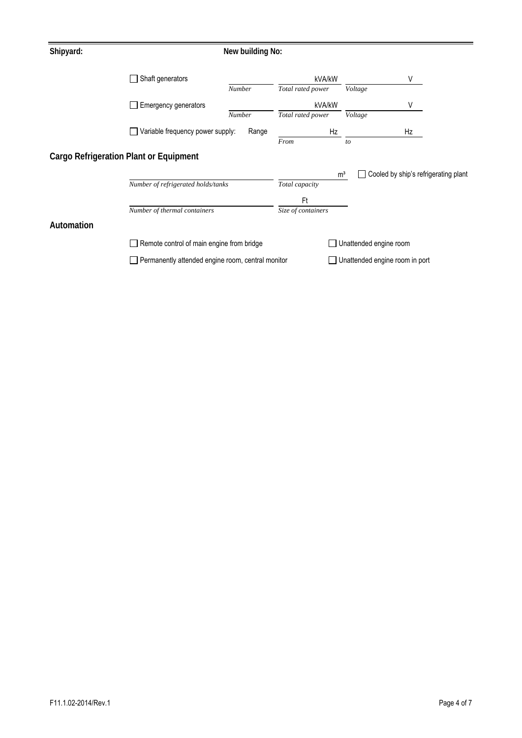| Shipyard:                                     |                                                   | New building No: |                    |                                |                                      |
|-----------------------------------------------|---------------------------------------------------|------------------|--------------------|--------------------------------|--------------------------------------|
|                                               | $\Box$ Shaft generators                           |                  | kVA/kW             |                                | ٧                                    |
|                                               |                                                   | Number           | Total rated power  | Voltage                        |                                      |
|                                               | Emergency generators                              |                  | kVA/kW             |                                | ٧                                    |
|                                               |                                                   | Number           | Total rated power  | Voltage                        |                                      |
|                                               | Variable frequency power supply:                  | Range            | Hz                 |                                | Hz                                   |
|                                               |                                                   |                  | From               | to                             |                                      |
| <b>Cargo Refrigeration Plant or Equipment</b> |                                                   |                  |                    |                                |                                      |
|                                               |                                                   |                  |                    | m <sup>3</sup>                 | Cooled by ship's refrigerating plant |
|                                               | Number of refrigerated holds/tanks                |                  | Total capacity     |                                |                                      |
|                                               |                                                   |                  | Ft                 |                                |                                      |
|                                               | Number of thermal containers                      |                  | Size of containers |                                |                                      |
| Automation                                    |                                                   |                  |                    |                                |                                      |
|                                               | Remote control of main engine from bridge         |                  |                    | Unattended engine room         |                                      |
|                                               | Permanently attended engine room, central monitor |                  |                    | Unattended engine room in port |                                      |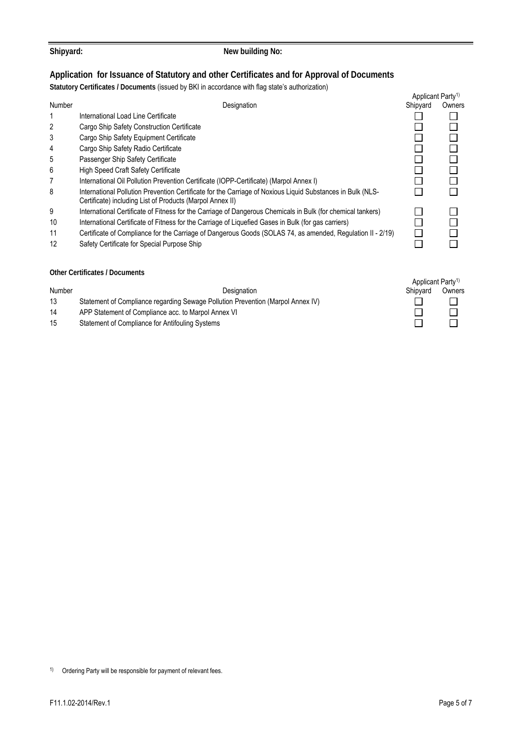1) Ordering Party will be responsible for payment of relevant fees.

### **Application for Issuance of Statutory and other Certificates and for Approval of Documents**

**Statutory Certificates / Documents** (issued by BKI in accordance with flag state's authorization)

|               |                                                                                                                                                                         | Applicant Party <sup>1)</sup>             |        |
|---------------|-------------------------------------------------------------------------------------------------------------------------------------------------------------------------|-------------------------------------------|--------|
| Number        | Designation                                                                                                                                                             | Shipyard                                  | Owners |
|               | International Load Line Certificate                                                                                                                                     |                                           |        |
| 2             | Cargo Ship Safety Construction Certificate                                                                                                                              |                                           |        |
| 3             | Cargo Ship Safety Equipment Certificate                                                                                                                                 |                                           |        |
| 4             | Cargo Ship Safety Radio Certificate                                                                                                                                     |                                           |        |
| 5             | Passenger Ship Safety Certificate                                                                                                                                       |                                           |        |
| 6             | High Speed Craft Safety Certificate                                                                                                                                     |                                           |        |
| 7             | International Oil Pollution Prevention Certificate (IOPP-Certificate) (Marpol Annex I)                                                                                  |                                           |        |
| 8             | International Pollution Prevention Certificate for the Carriage of Noxious Liquid Substances in Bulk (NLS-<br>Certificate) including List of Products (Marpol Annex II) |                                           |        |
| 9             | International Certificate of Fitness for the Carriage of Dangerous Chemicals in Bulk (for chemical tankers)                                                             |                                           |        |
| 10            | International Certificate of Fitness for the Carriage of Liquefied Gases in Bulk (for gas carriers)                                                                     |                                           |        |
| 11            | Certificate of Compliance for the Carriage of Dangerous Goods (SOLAS 74, as amended, Regulation II - 2/19)                                                              |                                           |        |
| 12            | Safety Certificate for Special Purpose Ship                                                                                                                             |                                           |        |
|               | <b>Other Certificates / Documents</b>                                                                                                                                   |                                           |        |
| <b>Number</b> | Designation                                                                                                                                                             | Applicant Party <sup>1)</sup><br>Shipyard | Owners |

- 13 Statement of Compliance regarding Sewage Pollution Prevention (Marpol Annex IV)
- 14 APP Statement of Compliance acc. to Marpol Annex VI
- 15 Statement of Compliance for Antifouling Systems



Shipyard: **New building No: New building No:**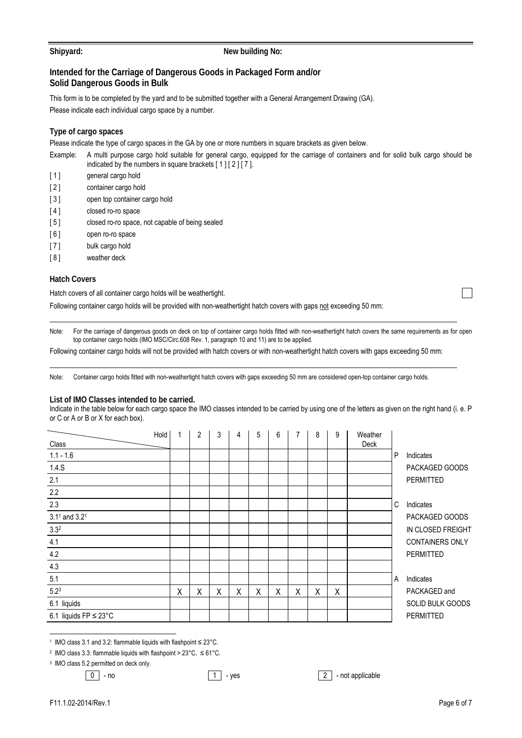#### Shipyard: **New building No: New building No:**

### **Intended for the Carriage of Dangerous Goods in Packaged Form and/or Solid Dangerous Goods in Bulk**

This form is to be completed by the yard and to be submitted together with a General Arrangement Drawing (GA). Please indicate each individual cargo space by a number.

### **Type of cargo spaces**

Please indicate the type of cargo spaces in the GA by one or more numbers in square brackets as given below.

- Example: A multi purpose cargo hold suitable for general cargo, equipped for the carriage of containers and for solid bulk cargo should be indicated by the numbers in square brackets [ 1 ] [ 2 ] [ 7 ].
- [1] general cargo hold
- [ 2 ] container cargo hold
- [ 3 ] open top container cargo hold
- [4] closed ro-ro space
- [5] closed ro-ro space, not capable of being sealed
- [6] open ro-ro space
- [ 7 ] bulk cargo hold
- [ 8 ] weather deck

#### **Hatch Covers**

Hatch covers of all container cargo holds will be weathertight.

Following container cargo holds will be provided with non-weathertight hatch covers with gaps not exceeding 50 mm:

Note: For the carriage of dangerous goods on deck on top of container cargo holds fitted with non-weathertight hatch covers the same requirements as for open top container cargo holds (IMO MSC/Circ.608 Rev. 1, paragraph 10 and 11) are to be applied.

Following container cargo holds will not be provided with hatch covers or with non-weathertight hatch covers with gaps exceeding 50 mm:

Note: Container cargo holds fitted with non-weathertight hatch covers with gaps exceeding 50 mm are considered open-top container cargo holds.

#### **List of IMO Classes intended to be carried.**

Indicate in the table below for each cargo space the IMO classes intended to be carried by using one of the letters as given on the right hand (i. e. P or C or A or B or X for each box).

| Class                             | Hold | 1 | 2 | 3 | 4 | 5 | 6 | 7 | 8 | 9 | Weather<br>Deck |   |                         |
|-----------------------------------|------|---|---|---|---|---|---|---|---|---|-----------------|---|-------------------------|
| $1.1 - 1.6$                       |      |   |   |   |   |   |   |   |   |   |                 | P | Indicates               |
| 1.4.S                             |      |   |   |   |   |   |   |   |   |   |                 |   | PACKAGED GOODS          |
| 2.1                               |      |   |   |   |   |   |   |   |   |   |                 |   | PERMITTED               |
| 2.2                               |      |   |   |   |   |   |   |   |   |   |                 |   |                         |
| 2.3                               |      |   |   |   |   |   |   |   |   |   |                 | C | Indicates               |
| $3.11$ and $3.21$                 |      |   |   |   |   |   |   |   |   |   |                 |   | PACKAGED GOODS          |
| 3.3 <sup>2</sup>                  |      |   |   |   |   |   |   |   |   |   |                 |   | IN CLOSED FREIGHT       |
| 4.1                               |      |   |   |   |   |   |   |   |   |   |                 |   | <b>CONTAINERS ONLY</b>  |
| 4.2                               |      |   |   |   |   |   |   |   |   |   |                 |   | PERMITTED               |
| 4.3                               |      |   |   |   |   |   |   |   |   |   |                 |   |                         |
| 5.1                               |      |   |   |   |   |   |   |   |   |   |                 | A | Indicates               |
| $5.2^{3}$                         |      | Χ | Χ | Χ | Χ | Χ | X | X | Χ | X |                 |   | PACKAGED and            |
| 6.1 liquids                       |      |   |   |   |   |   |   |   |   |   |                 |   | <b>SOLID BULK GOODS</b> |
| 6.1 liquids $FP \leq 23^{\circ}C$ |      |   |   |   |   |   |   |   |   |   |                 |   | <b>PERMITTED</b>        |

1 IMO class 3.1 and 3.2: flammable liquids with flashpoint ≤ 23°C.

2 IMO class 3.3: flammable liquids with flashpoint > 23°C, ≤ 61°C.

3 IMO class 5.2 permitted on deck only.

 $\boxed{0}$  - no  $\boxed{1}$  - yes  $\boxed{2}$  - not applicable

 $\overline{a}$